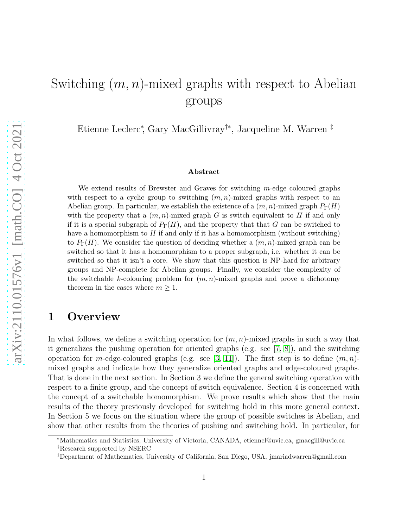# Switching  $(m, n)$ -mixed graphs with respect to Abelian groups

Etienne Leclerc<sup>∗</sup> , Gary MacGillivray†<sup>∗</sup> , Jacqueline M. Warren ‡

#### Abstract

We extend results of Brewster and Graves for switching m-edge coloured graphs with respect to a cyclic group to switching  $(m, n)$ -mixed graphs with respect to an Abelian group. In particular, we establish the existence of a  $(m, n)$ -mixed graph  $P_{\Gamma}(H)$ with the property that a  $(m, n)$ -mixed graph G is switch equivalent to H if and only if it is a special subgraph of  $P_{\Gamma}(H)$ , and the property that that G can be switched to have a homomorphism to  $H$  if and only if it has a homomorphism (without switching) to  $P_{\Gamma}(H)$ . We consider the question of deciding whether a  $(m, n)$ -mixed graph can be switched so that it has a homomorphism to a proper subgraph, i.e. whether it can be switched so that it isn't a core. We show that this question is NP-hard for arbitrary groups and NP-complete for Abelian groups. Finally, we consider the complexity of the switchable k-colouring problem for  $(m, n)$ -mixed graphs and prove a dichotomy theorem in the cases where  $m \geq 1$ .

## 1 Overview

In what follows, we define a switching operation for  $(m, n)$ -mixed graphs in such a way that it generalizes the pushing operation for oriented graphs (e.g. see [\[7,](#page-12-0) [8\]](#page-12-1)), and the switching operation for m-edge-coloured graphs (e.g. see [\[3,](#page-12-2) [11\]](#page-12-3)). The first step is to define  $(m, n)$ mixed graphs and indicate how they generalize oriented graphs and edge-coloured graphs. That is done in the next section. In Section 3 we define the general switching operation with respect to a finite group, and the concept of switch equivalence. Section 4 is concerned with the concept of a switchable homomorphism. We prove results which show that the main results of the theory previously developed for switching hold in this more general context. In Section 5 we focus on the situation where the group of possible switches is Abelian, and show that other results from the theories of pushing and switching hold. In particular, for

<sup>∗</sup>Mathematics and Statistics, University of Victoria, CANADA, etiennel@uvic.ca, gmacgill@uvic.ca †Research supported by NSERC

<sup>‡</sup>Department of Mathematics, University of California, San Diego, USA, jmariadwarren@gmail.com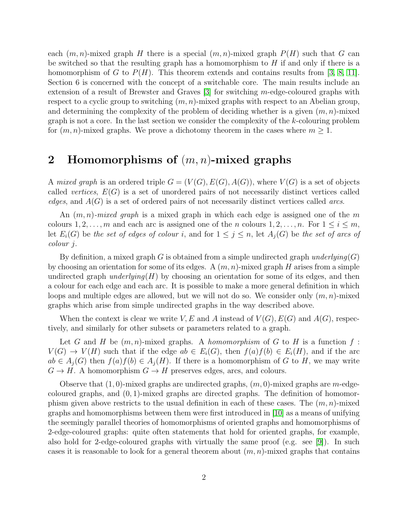each  $(m, n)$ -mixed graph H there is a special  $(m, n)$ -mixed graph  $P(H)$  such that G can be switched so that the resulting graph has a homomorphism to  $H$  if and only if there is a homomorphism of G to  $P(H)$ . This theorem extends and contains results from [\[3,](#page-12-2) [8,](#page-12-1) [11\]](#page-12-3). Section 6 is concerned with the concept of a switchable core. The main results include an extension of a result of Brewster and Graves  $[3]$  for switching m-edge-coloured graphs with respect to a cyclic group to switching  $(m, n)$ -mixed graphs with respect to an Abelian group, and determining the complexity of the problem of deciding whether is a given  $(m, n)$ -mixed graph is not a core. In the last section we consider the complexity of the k-colouring problem for  $(m, n)$ -mixed graphs. We prove a dichotomy theorem in the cases where  $m \geq 1$ .

# 2 Homomorphisms of  $(m, n)$ -mixed graphs

A *mixed graph* is an ordered triple  $G = (V(G), E(G), A(G))$ , where  $V(G)$  is a set of objects called *vertices*, E(G) is a set of unordered pairs of not necessarily distinct vertices called *edges*, and A(G) is a set of ordered pairs of not necessarily distinct vertices called *arcs*.

An (m, n)*-mixed graph* is a mixed graph in which each edge is assigned one of the m colours  $1, 2, \ldots, m$  and each arc is assigned one of the n colours  $1, 2, \ldots, n$ . For  $1 \leq i \leq m$ , let  $E_i(G)$  be the set of edges of colour i, and for  $1 \leq j \leq n$ , let  $A_i(G)$  be the set of arcs of *colour* j.

By definition, a mixed graph G is obtained from a simple undirected graph *underlying*(G) by choosing an orientation for some of its edges. A  $(m, n)$ -mixed graph H arises from a simple undirected graph *underlying* $(H)$  by choosing an orientation for some of its edges, and then a colour for each edge and each arc. It is possible to make a more general definition in which loops and multiple edges are allowed, but we will not do so. We consider only  $(m, n)$ -mixed graphs which arise from simple undirected graphs in the way described above.

When the context is clear we write V, E and A instead of  $V(G), E(G)$  and  $A(G)$ , respectively, and similarly for other subsets or parameters related to a graph.

Let G and H be  $(m, n)$ -mixed graphs. A *homomorphism* of G to H is a function f:  $V(G) \to V(H)$  such that if the edge  $ab \in E_i(G)$ , then  $f(a)f(b) \in E_i(H)$ , and if the arc  $ab \in A_i(G)$  then  $f(a)f(b) \in A_i(H)$ . If there is a homomorphism of G to H, we may write  $G \to H$ . A homomorphism  $G \to H$  preserves edges, arcs, and colours.

Observe that  $(1,0)$ -mixed graphs are undirected graphs,  $(m,0)$ -mixed graphs are m-edgecoloured graphs, and  $(0, 1)$ -mixed graphs are directed graphs. The definition of homomorphism given above restricts to the usual definition in each of these cases. The  $(m, n)$ -mixed graphs and homomorphisms between them were first introduced in [\[10\]](#page-12-4) as a means of unifying the seemingly parallel theories of homomorphisms of oriented graphs and homomorphisms of 2-edge-coloured graphs: quite often statements that hold for oriented graphs, for example, also hold for 2-edge-coloured graphs with virtually the same proof (e.g. see [\[9\]](#page-12-5)). In such cases it is reasonable to look for a general theorem about  $(m, n)$ -mixed graphs that contains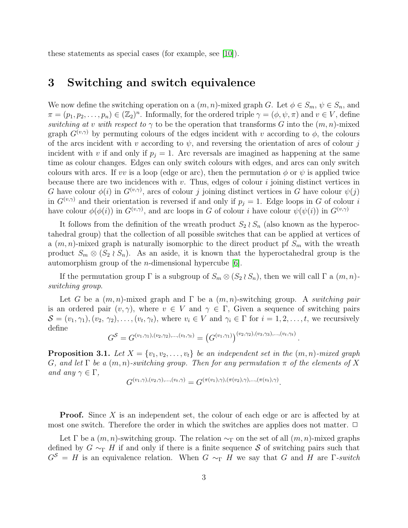these statements as special cases (for example, see [\[10\]](#page-12-4)).

## 3 Switching and switch equivalence

We now define the switching operation on a  $(m, n)$ -mixed graph G. Let  $\phi \in S_m$ ,  $\psi \in S_n$ , and  $\pi = (p_1, p_2, \ldots, p_n) \in (\mathbb{Z}_2)^n$ . Informally, for the ordered triple  $\gamma = (\phi, \psi, \pi)$  and  $v \in V$ , define *switching at v with respect to*  $\gamma$  to be the operation that transforms G into the  $(m, n)$ -mixed graph  $G^{(v,\gamma)}$  by permuting colours of the edges incident with v according to  $\phi$ , the colours of the arcs incident with v according to  $\psi$ , and reversing the orientation of arcs of colour j incident with v if and only if  $p_j = 1$ . Arc reversals are imagined as happening at the same time as colour changes. Edges can only switch colours with edges, and arcs can only switch colours with arcs. If vv is a loop (edge or arc), then the permutation  $\phi$  or  $\psi$  is applied twice because there are two incidences with  $v$ . Thus, edges of colour  $i$  joining distinct vertices in G have colour  $\phi(i)$  in  $G^{(v,\gamma)}$ , arcs of colour j joining distinct vertices in G have colour  $\psi(j)$ in  $G^{(v,\gamma)}$  and their orientation is reversed if and only if  $p_j = 1$ . Edge loops in G of colour i have colour  $\phi(\phi(i))$  in  $G^{(v,\gamma)}$ , and arc loops in G of colour i have colour  $\psi(\psi(i))$  in  $G^{(v,\gamma)}$ 

It follows from the definition of the wreath product  $S_2 \wr S_n$  (also known as the hyperoctahedral group) that the collection of all possible switches that can be applied at vertices of a  $(m, n)$ -mixed graph is naturally isomorphic to the direct product pf  $S_m$  with the wreath product  $S_m \otimes (S_2 \wr S_n)$ . As an aside, it is known that the hyperoctahedral group is the automorphism group of the *n*-dimensional hypercube  $[6]$ .

If the permutation group  $\Gamma$  is a subgroup of  $S_m \otimes (S_2 \wr S_n)$ , then we will call  $\Gamma$  a  $(m, n)$ *switching group*.

Let G be a  $(m, n)$ -mixed graph and  $\Gamma$  be a  $(m, n)$ -switching group. A *switching pair* is an ordered pair  $(v, \gamma)$ , where  $v \in V$  and  $\gamma \in \Gamma$ , Given a sequence of switching pairs  $S = (v_1, \gamma_1), (v_2, \gamma_2), \ldots, (v_t, \gamma_t)$ , where  $v_i \in V$  and  $\gamma_i \in \Gamma$  for  $i = 1, 2, \ldots, t$ , we recursively define

$$
G^{\mathcal{S}} = G^{(v_1,\gamma_1),(v_2,\gamma_2),...,(v_t,\gamma_t)} = (G^{(v_1,\gamma_1)})^{(v_2,\gamma_2),(v_3,\gamma_3),...,(v_t,\gamma_t)}
$$

.

.

<span id="page-2-0"></span>**Proposition 3.1.** Let  $X = \{v_1, v_2, \ldots, v_t\}$  be an independent set in the  $(m, n)$ -mixed graph G, and let  $\Gamma$  be a  $(m, n)$ -switching group. Then for any permutation  $\pi$  of the elements of X *and any*  $\gamma \in \Gamma$ *,* 

$$
G^{(v_1,\gamma),(v_2,\gamma),...,v_t,\gamma)} = G^{(\pi(v_1),\gamma),(\pi(v_2),\gamma),...,(\pi(v_t),\gamma)}
$$

**Proof.** Since X is an independent set, the colour of each edge or arc is affected by at most one switch. Therefore the order in which the switches are applies does not matter.  $\Box$ 

Let  $\Gamma$  be a  $(m, n)$ -switching group. The relation  $\sim_{\Gamma}$  on the set of all  $(m, n)$ -mixed graphs defined by  $G \sim_{\Gamma} H$  if and only if there is a finite sequence S of switching pairs such that  $G^S = H$  is an equivalence relation. When  $G \sim_{\Gamma} H$  we say that G and H are Γ-switch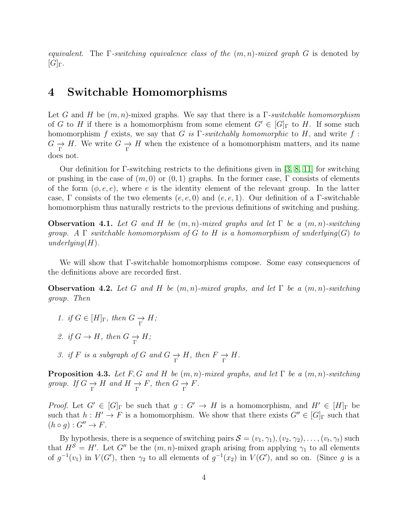*equivalent*. The Γ*-switching equivalence class of the* (m, n)*-mixed graph* G is denoted by  $[G]_Γ.$ 

# 4 Switchable Homomorphisms

Let G and H be (m, n)-mixed graphs. We say that there is a Γ*-switchable homomorphism* of G to H if there is a homomorphism from some element  $G' \in [G]_{\Gamma}$  to H. If some such homomorphism f exists, we say that G *is* Γ*-switchably homomorphic* to H, and write f :  $G \longrightarrow H$ . We write  $G \longrightarrow H$  when the existence of a homomorphism matters, and its name does not.

Our definition for Γ-switching restricts to the definitions given in [\[3,](#page-12-2) [8,](#page-12-1) [11\]](#page-12-3) for switching or pushing in the case of  $(m, 0)$  or  $(0, 1)$  graphs. In the former case,  $\Gamma$  consists of elements of the form  $(\phi, e, e)$ , where e is the identity element of the relevant group. In the latter case, Γ consists of the two elements  $(e, e, 0)$  and  $(e, e, 1)$ . Our definition of a Γ-switchable homomorphism thus naturally restricts to the previous definitions of switching and pushing.

<span id="page-3-2"></span>**Observation 4.1.** Let G and H be  $(m, n)$ -mixed graphs and let  $\Gamma$  be a  $(m, n)$ -switching *group.* A  $\Gamma$  *switchable homomorphism of* G *to* H *is a homomorphism of underlying* $(G)$  *to underlying*(H)*.*

We will show that Γ-switchable homomorphisms compose. Some easy consequences of the definitions above are recorded first.

<span id="page-3-0"></span>**Observation 4.2.** Let G and H be  $(m, n)$ -mixed graphs, and let  $\Gamma$  be a  $(m, n)$ -switching *group. Then*

- *1. if*  $G \in [H]_F$ *, then*  $G \rightarrow H$ *;*
- 2. *if*  $G \to H$ *, then*  $G \to H$ *;*
- *3. if*  $F$  *is a subgraph of*  $G$  *and*  $G \underset{\Gamma}{\to} H$ *, then*  $F \underset{\Gamma}{\to} H$ *.*

<span id="page-3-1"></span>**Proposition 4.3.** *Let*  $F, G$  *and*  $H$  *be*  $(m, n)$ *-mixed graphs, and let*  $\Gamma$  *be*  $a$   $(m, n)$ *-switching group.* If  $G \rightharpoonup_{\Gamma} H$  and  $H \rightharpoonup_{\Gamma} F$ , then  $G \rightharpoonup_{\Gamma} F$ .

*Proof.* Let  $G' \in [G]_\Gamma$  be such that  $g: G' \to H$  is a homomorphism, and  $H' \in [H]_\Gamma$  be such that  $h : H' \to F$  is a homomorphism. We show that there exists  $G'' \in [G]_{\Gamma}$  such that  $(h \circ g) : G'' \to F.$ 

By hypothesis, there is a sequence of switching pairs  $S = (v_1, \gamma_1), (v_2, \gamma_2), \ldots, (v_t, \gamma_t)$  such that  $H^{\mathcal{S}} = H'$ . Let G'' be the  $(m, n)$ -mixed graph arising from applying  $\gamma_1$  to all elements of  $g^{-1}(v_1)$  in  $V(G')$ , then  $\gamma_2$  to all elements of  $g^{-1}(x_2)$  in  $V(G')$ , and so on. (Since g is a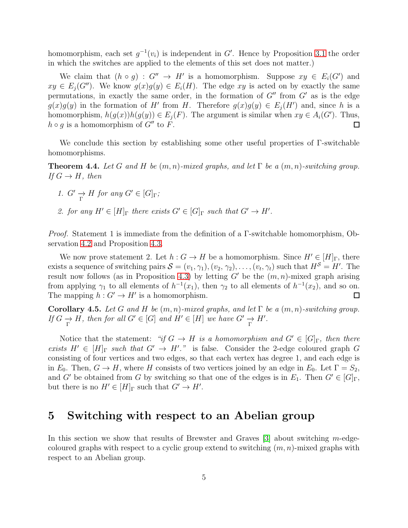homomorphism, each set  $g^{-1}(v_i)$  is independent in G'. Hence by Proposition [3.1](#page-2-0) the order in which the switches are applied to the elements of this set does not matter.)

We claim that  $(h \circ g) : G'' \to H'$  is a homomorphism. Suppose  $xy \in E_i(G')$  and  $xy \in E_i(G'')$ . We know  $g(x)g(y) \in E_i(H)$ . The edge xy is acted on by exactly the same permutations, in exactly the same order, in the formation of  $G''$  from  $G'$  as is the edge  $g(x)g(y)$  in the formation of H' from H. Therefore  $g(x)g(y) \in E<sub>j</sub>(H')$  and, since h is a homomorphism,  $h(g(x))h(g(y)) \in E_j(F)$ . The argument is similar when  $xy \in A_i(G')$ . Thus,  $h \circ q$  is a homomorphism of  $G''$  to F.  $\Box$ 

We conclude this section by establishing some other useful properties of Γ-switchable homomorphisms.

**Theorem 4.4.** Let G and H be  $(m, n)$ -mixed graphs, and let  $\Gamma$  be a  $(m, n)$ -switching group. *If*  $G \rightarrow H$ *, then* 

- *1.*  $G' \rightarrow H$  *for any*  $G' \in [G]$ <sub>Γ</sub>;
- 2. for any  $H' \in [H]_{\Gamma}$  there exists  $G' \in [G]_{\Gamma}$  such that  $G' \to H'$ .

*Proof.* Statement 1 is immediate from the definition of a Γ-switchable homomorphism, Observation [4.2](#page-3-0) and Proposition [4.3.](#page-3-1)

We now prove statement 2. Let  $h: G \to H$  be a homomorphism. Since  $H' \in [H]_{\Gamma}$ , there exists a sequence of switching pairs  $S = (v_1, \gamma_1), (v_2, \gamma_2), \ldots, (v_t, \gamma_t)$  such that  $H^S = H'$ . The result now follows (as in Proposition [4.3\)](#page-3-1) by letting  $G'$  be the  $(m, n)$ -mixed graph arising from applying  $\gamma_1$  to all elements of  $h^{-1}(x_1)$ , then  $\gamma_2$  to all elements of  $h^{-1}(x_2)$ , and so on. The mapping  $h: G' \to H'$  is a homomorphism.  $\Box$ 

Corollary 4.5. Let G and H be  $(m, n)$ -mixed graphs, and let  $\Gamma$  be a  $(m, n)$ -switching group. *If*  $G \to H$ *, then for all*  $G' \in [G]$  *and*  $H' \in [H]$  *we have*  $G' \to H'$ *.* 

Notice that the statement: *"if*  $G \to H$  *is a homomorphism and*  $G' \in [G]_F$ , then there *exists*  $H' \in [H]_{\Gamma}$  *such that*  $G' \to H'$ ." is false. Consider the 2-edge coloured graph G consisting of four vertices and two edges, so that each vertex has degree 1, and each edge is in  $E_0$ . Then,  $G \to H$ , where H consists of two vertices joined by an edge in  $E_0$ . Let  $\Gamma = S_2$ , and G' be obtained from G by switching so that one of the edges is in  $E_1$ . Then  $G' \in [G]_{\Gamma}$ , but there is no  $H' \in [H]_{\Gamma}$  such that  $G' \to H'$ .

## 5 Switching with respect to an Abelian group

In this section we show that results of Brewster and Graves  $\lvert 3 \rvert$  about switching m-edgecoloured graphs with respect to a cyclic group extend to switching  $(m, n)$ -mixed graphs with respect to an Abelian group.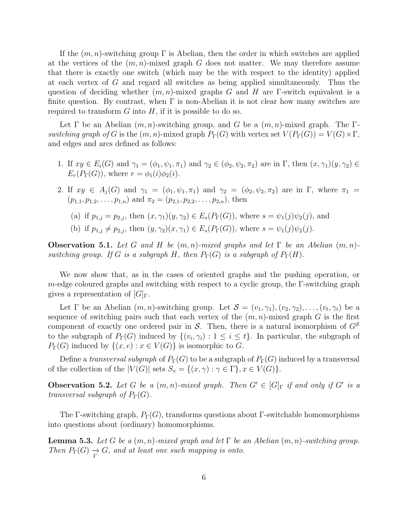If the  $(m, n)$ -switching group  $\Gamma$  is Abelian, then the order in which switches are applied at the vertices of the  $(m, n)$ -mixed graph G does not matter. We may therefore assume that there is exactly one switch (which may be the with respect to the identity) applied at each vertex of G and regard all switches as being applied simultaneously. Thus the question of deciding whether  $(m, n)$ -mixed graphs G and H are Γ-switch equivalent is a finite question. By contrast, when  $\Gamma$  is non-Abelian it is not clear how many switches are required to transform  $G$  into  $H$ , if it is possible to do so.

Let  $\Gamma$  be an Abelian  $(m, n)$ -switching group, and G be a  $(m, n)$ -mixed graph. The  $\Gamma$ *switching graph of* G is the  $(m, n)$ -mixed graph  $P_{\Gamma}(G)$  with vertex set  $V(P_{\Gamma}(G)) = V(G) \times \Gamma$ , and edges and arcs defined as follows:

- 1. If  $xy \in E_i(G)$  and  $\gamma_1 = (\phi_1, \psi_1, \pi_1)$  and  $\gamma_2 \in (\phi_2, \psi_2, \pi_2)$  are in  $\Gamma$ , then  $(x, \gamma_1)(y, \gamma_2) \in$  $E_r(P_\Gamma(G))$ , where  $r = \phi_1(i)\phi_2(i)$ .
- 2. If  $xy \in A_j(G)$  and  $\gamma_1 = (\phi_1, \psi_1, \pi_1)$  and  $\gamma_2 = (\phi_2, \psi_2, \pi_2)$  are in  $\Gamma$ , where  $\pi_1 =$  $(p_{1,1}, p_{1,2}, \ldots, p_{1,n})$  and  $\pi_2 = (p_{2,1}, p_{2,2}, \ldots, p_{2,n})$ , then
	- (a) if  $p_{1,i} = p_{2,i}$ , then  $(x, \gamma_1)(y, \gamma_2) \in E_s(P_{\Gamma}(G))$ , where  $s = \psi_1(j)\psi_2(j)$ , and
	- (b) if  $p_{1,j} \neq p_{2,j}$ , then  $(y, \gamma_2)(x, \gamma_1) \in E_s(P_{\Gamma}(G))$ , where  $s = \psi_1(j)\psi_2(j)$ .

**Observation 5.1.** Let G and H be  $(m, n)$ -mixed graphs and let  $\Gamma$  be an Abelian  $(m, n)$ *switching group.* If G *is a subgraph* H, then  $P_{\Gamma}(G)$  *is a subgraph of*  $P_{\Gamma}(H)$ *.* 

We now show that, as in the cases of oriented graphs and the pushing operation, or m-edge coloured graphs and switching with respect to a cyclic group, the  $\Gamma$ -switching graph gives a representation of  $[G]_{\Gamma}$ .

Let  $\Gamma$  be an Abelian  $(m, n)$ -switching group. Let  $\mathcal{S} = (v_1, \gamma_1), (v_2, \gamma_2), \ldots, (v_t, \gamma_t)$  be a sequence of switching pairs such that each vertex of the  $(m, n)$ -mixed graph G is the first component of exactly one ordered pair in S. Then, there is a natural isomorphism of  $G<sup>S</sup>$ to the subgraph of  $P_{\Gamma}(G)$  induced by  $\{(v_i, \gamma_i) : 1 \leq i \leq t\}$ . In particular, the subgraph of  $P_{\Gamma}(G)$  induced by  $\{(x, e) : x \in V(G)\}\$ is isomorphic to G.

Define a *transversal subgraph* of  $P_{\Gamma}(G)$  to be a subgraph of  $P_{\Gamma}(G)$  induced by a transversal of the collection of the  $|V(G)|$  sets  $S_x = \{(x, \gamma) : \gamma \in \Gamma\}, x \in V(G)\}.$ 

**Observation 5.2.** Let G be a  $(m, n)$ -mixed graph. Then  $G' \in [G]_{\Gamma}$  if and only if G' is a *transversal subgraph of*  $P_{\Gamma}(G)$ *.* 

The Γ-switching graph,  $P_{\Gamma}(G)$ , transforms questions about Γ-switchable homomorphisms into questions about (ordinary) homomorphisms.

<span id="page-5-0"></span>**Lemma 5.3.** Let G be a  $(m, n)$ -mixed graph and let  $\Gamma$  be an Abelian  $(m, n)$ -switching group. *Then*  $P_{\Gamma}(G) \rightarrow G$ , and at least one such mapping is onto.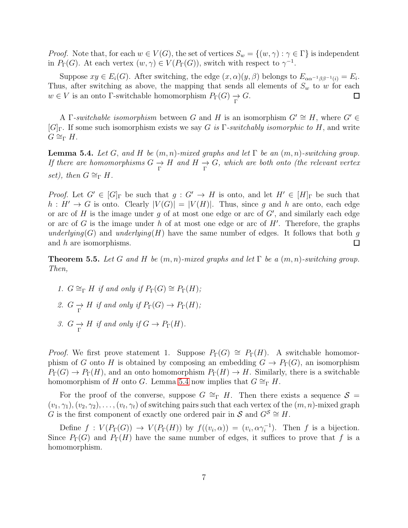*Proof.* Note that, for each  $w \in V(G)$ , the set of vertices  $S_w = \{(w, \gamma) : \gamma \in \Gamma\}$  is independent in  $P_{\Gamma}(G)$ . At each vertex  $(w, \gamma) \in V(P_{\Gamma}(G))$ , switch with respect to  $\gamma^{-1}$ .

Suppose  $xy \in E_i(G)$ . After switching, the edge  $(x, \alpha)(y, \beta)$  belongs to  $E_{\alpha \alpha^{-1} \beta \beta^{-1}(i)} = E_i$ . Thus, after switching as above, the mapping that sends all elements of  $S_w$  to w for each  $w \in V$  is an onto Γ-switchable homomorphism  $P_{\Gamma}(G) \to G$ .  $\Box$ 

A Γ-switchable isomorphism between G and H is an isomorphism  $G' \cong H$ , where  $G' \in$ [G]Γ. If some such isomorphism exists we say G *is* Γ*-switchably isomorphic to* H, and write  $G \cong_{\Gamma} H$ .

<span id="page-6-0"></span>**Lemma 5.4.** *Let*  $G$ , *and*  $H$  *be*  $(m, n)$ *-mixed graphs and let*  $\Gamma$  *be an*  $(m, n)$ *-switching group. If there are homomorphisms*  $G \to H$  *and*  $H \to G$ *, which are both onto (the relevant vertex set*), then  $G \cong_{\Gamma} H$ .

*Proof.* Let  $G' \in [G]_F$  be such that  $g: G' \to H$  is onto, and let  $H' \in [H]_F$  be such that  $h: H' \to G$  is onto. Clearly  $|V(G)| = |V(H)|$ . Thus, since g and h are onto, each edge or arc of H is the image under g of at most one edge or arc of  $G'$ , and similarly each edge or arc of G is the image under h of at most one edge or arc of  $H'$ . Therefore, the graphs *underlying*(G) and *underlying*(H) have the same number of edges. It follows that both g and h are isomorphisms.  $\Box$ 

**Theorem 5.5.** Let G and H be  $(m, n)$ -mixed graphs and let  $\Gamma$  be a  $(m, n)$ -switching group. *Then,*

- *1.*  $G \cong_{\Gamma} H$  *if and only if*  $P_{\Gamma}(G) \cong P_{\Gamma}(H)$ *;*
- <span id="page-6-1"></span>2.  $G \longrightarrow H$  *if and only if*  $P_{\Gamma}(G) \longrightarrow P_{\Gamma}(H)$ *;*
- 3.  $G \underset{\Gamma}{\to} H$  *if and only if*  $G \to P_{\Gamma}(H)$ *.*

*Proof.* We first prove statement 1. Suppose  $P_{\Gamma}(G) \cong P_{\Gamma}(H)$ . A switchable homomorphism of G onto H is obtained by composing an embedding  $G \to P_{\Gamma}(G)$ , an isomorphism  $P_{\Gamma}(G) \to P_{\Gamma}(H)$ , and an onto homomorphism  $P_{\Gamma}(H) \to H$ . Similarly, there is a switchable homomorphism of H onto G. Lemma [5.4](#page-6-0) now implies that  $G \cong_{\Gamma} H$ .

For the proof of the converse, suppose  $G \cong_{\Gamma} H$ . Then there exists a sequence  $S =$  $(v_1, \gamma_1), (v_2, \gamma_2), \ldots, (v_t, \gamma_t)$  of switching pairs such that each vertex of the  $(m, n)$ -mixed graph G is the first component of exactly one ordered pair in S and  $G^S \cong H$ .

Define  $f: V(P_{\Gamma}(G)) \to V(P_{\Gamma}(H))$  by  $f((v_i, \alpha)) = (v_i, \alpha \gamma_i^{-1})$ . Then f is a bijection. Since  $P_{\Gamma}(G)$  and  $P_{\Gamma}(H)$  have the same number of edges, it suffices to prove that f is a homomorphism.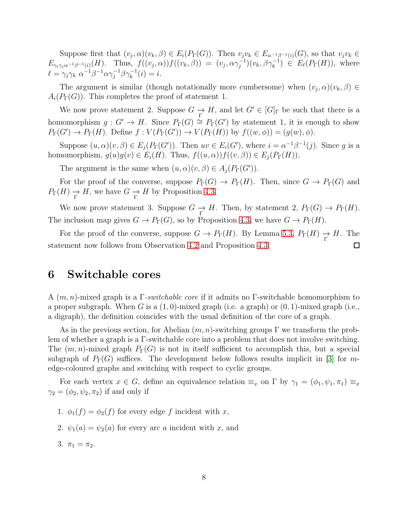Suppose first that  $(v_j, \alpha)(v_k, \beta) \in E_i(P_\Gamma(G))$ . Then  $v_jv_k \in E_{\alpha^{-1}\beta^{-1}(i)}(G)$ , so that  $v_jv_k \in E_{\alpha^{-1}\beta^{-1}(i)}(G)$ .  $E_{\gamma_i\gamma_j\alpha^{-1}\beta^{-1}(i)}(H)$ . Thus,  $f((v_j,\alpha))f((v_k,\beta)) = (v_j,\alpha\gamma_j^{-1})(v_k,\beta\gamma_k^{-1}) \in E_{\ell}(P_{\Gamma}(H))$ , where  $\ell = \gamma_j \gamma_k \ \alpha^{-1} \beta^{-1} \alpha \gamma_j^{-1} \beta \gamma_k^{-1}(i) = i.$ 

The argument is similar (though notationally more cumbersome) when  $(v_j, \alpha)(v_k, \beta) \in$  $A_i(P_{\Gamma}(G))$ . This completes the proof of statement 1.

We now prove statement 2. Suppose  $G \to H$ , and let  $G' \in [G]_{\Gamma}$  be such that there is a homomorphism  $g: G' \to H$ . Since  $P_{\Gamma}(G) \cong P_{\Gamma}(G')$  by statement 1, it is enough to show  $P_{\Gamma}(G') \to P_{\Gamma}(H)$ . Define  $f: V(P_{\Gamma}(G')) \to V(P_{\Gamma}(H))$  by  $f((w, \phi)) = (g(w), \phi)$ .

Suppose  $(u, \alpha)(v, \beta) \in E_j(P_{\Gamma}(G'))$ . Then  $uv \in E_i(G')$ , where  $i = \alpha^{-1}\beta^{-1}(j)$ . Since g is a homomorphism,  $g(u)g(v) \in E_i(H)$ . Thus,  $f((u, \alpha))f((v, \beta)) \in E_i(P_{\Gamma}(H))$ .

The argument is the same when  $(u, \alpha)(v, \beta) \in A_j(P_{\Gamma}(G'))$ .

For the proof of the converse, suppose  $P_{\Gamma}(G) \to P_{\Gamma}(H)$ . Then, since  $G \to P_{\Gamma}(G)$  and  $P_{\Gamma}(H) \to H$ , we have  $G \to H$  by Proposition [4.3.](#page-3-1)

We now prove statement 3. Suppose  $G \to H$ . Then, by statement 2,  $P_{\Gamma}(G) \to P_{\Gamma}(H)$ . The inclusion map gives  $G \to P_{\Gamma}(G)$ , so by Proposition [4.3,](#page-3-1) we have  $G \to P_{\Gamma}(H)$ .

For the proof of the converse, suppose  $G \to P_{\Gamma}(H)$ . By Lemma [5.3,](#page-5-0)  $P_{\Gamma}(H) \to H$ . The statement now follows from Observation [4.2](#page-3-0) and Proposition [4.3.](#page-3-1)  $\Box$ 

# 6 Switchable cores

A (m, n)-mixed graph is a Γ*-switchable core* if it admits no Γ-switchable homomorphism to a proper subgraph. When G is a  $(1, 0)$ -mixed graph (i.e. a graph) or  $(0, 1)$ -mixed graph (i.e., a digraph), the definition coincides with the usual definition of the core of a graph.

As in the previous section, for Abelian  $(m, n)$ -switching groups  $\Gamma$  we transform the problem of whether a graph is a Γ-switchable core into a problem that does not involve switching. The  $(m, n)$ -mixed graph  $P_{\Gamma}(G)$  is not in itself sufficient to accomplish this, but a special subgraph of  $P_{\Gamma}(G)$  suffices. The development below follows results implicit in [\[3\]](#page-12-2) for medge-coloured graphs and switching with respect to cyclic groups.

For each vertex  $x \in G$ , define an equivalence relation  $\equiv_x$  on  $\Gamma$  by  $\gamma_1 = (\phi_1, \psi_1, \pi_1) \equiv_x$  $\gamma_2 = (\phi_2, \psi_2, \pi_2)$  if and only if

- 1.  $\phi_1(f) = \phi_2(f)$  for every edge f incident with x,
- 2.  $\psi_1(a) = \psi_2(a)$  for every arc a incident with x, and
- 3.  $\pi_1 = \pi_2$ .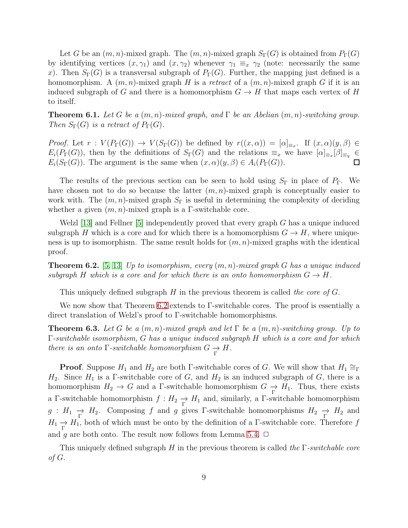Let G be an  $(m, n)$ -mixed graph. The  $(m, n)$ -mixed graph  $S_{\Gamma}(G)$  is obtained from  $P_{\Gamma}(G)$ by identifying vertices  $(x, \gamma_1)$  and  $(x, \gamma_2)$  whenever  $\gamma_1 \equiv_x \gamma_2$  (note: necessarily the same x). Then  $S_{\Gamma}(G)$  is a transversal subgraph of  $P_{\Gamma}(G)$ . Further, the mapping just defined is a homomorphism. A  $(m, n)$ -mixed graph H is a *retract* of a  $(m, n)$ -mixed graph G if it is an induced subgraph of G and there is a homomorphism  $G \to H$  that maps each vertex of H to itself.

**Theorem 6.1.** Let G be a  $(m, n)$ -mixed graph, and  $\Gamma$  be an Abelian  $(m, n)$ -switching group. *Then*  $S_{\Gamma}(G)$  *is a retract of*  $P_{\Gamma}(G)$ *.* 

*Proof.* Let  $r: V(P_{\Gamma}(G)) \to V(S_{\Gamma}(G))$  be defined by  $r((x, \alpha)) = [\alpha]_{\equiv_x}$ . If  $(x, \alpha)(y, \beta) \in$  $E_i(P_\Gamma(G))$ , then by the definitions of  $S_\Gamma(G)$  and the relations  $\equiv_x$  we have  $[\alpha]_{\equiv_x}[\beta]_{\equiv_y} \in$  $E_i(S_\Gamma(G))$ . The argument is the same when  $(x, \alpha)(y, \beta) \in A_i(P_\Gamma(G))$ .

The results of the previous section can be seen to hold using  $S_{\Gamma}$  in place of  $P_{\Gamma}$ . We have chosen not to do so because the latter  $(m, n)$ -mixed graph is conceptually easier to work with. The  $(m, n)$ -mixed graph  $S_{\Gamma}$  is useful in determining the complexity of deciding whether a given  $(m, n)$ -mixed graph is a Γ-switchable core.

Welzl [\[13\]](#page-12-7) and Fellner [\[5\]](#page-12-8) independently proved that every graph G has a unique induced subgraph H which is a core and for which there is a homomorphism  $G \to H$ , where uniqueness is up to isomorphism. The same result holds for  $(m, n)$ -mixed graphs with the identical proof.

<span id="page-8-0"></span>Theorem 6.2. [\[5,](#page-12-8) [13\]](#page-12-7) *Up to isomorphism, every* (m, n)*-mixed graph* G *has a unique induced subgraph* H *which is a core and for which there is an onto homomorphism*  $G \to H$ .

This uniquely defined subgraph H in the previous theorem is called *the core of* G.

We now show that Theorem [6.2](#page-8-0) extends to Γ-switchable cores. The proof is essentially a direct translation of Welzl's proof to Γ-switchable homomorphisms.

**Theorem 6.3.** Let G be a  $(m, n)$ -mixed graph and let  $\Gamma$  be a  $(m, n)$ -switching group. Up to Γ*-switchable isomorphism,* G *has a unique induced subgraph* H *which is a core and for which there is an onto*  $\Gamma$ *-switchable homomorphism*  $G \longrightarrow H$ *.* 

**Proof.** Suppose  $H_1$  and  $H_2$  are both Γ-switchable cores of G. We will show that  $H_1 \cong_{\Gamma}$  $H_2$ . Since  $H_1$  is a Γ-switchable core of G, and  $H_2$  is an induced subgraph of G, there is a homomorphism  $H_2 \to G$  and a  $\Gamma$ -switchable homomorphism  $G \to H_1$ . Thus, there exists a Γ-switchable homomorphism  $f: H_2 \to H_1$  and, similarly, a Γ-switchable homomorphism  $g: H_1 \to H_2$ . Composing f and g gives Γ-switchable homomorphisms  $H_2 \to H_2$  and  $H_1 \rightarrow H_1$ , both of which must be onto by the definition of a  $\Gamma$ -switchable core. Therefore f and g are both onto. The result now follows from Lemma [5.4.](#page-6-0)  $\Box$ 

This uniquely defined subgraph H in the previous theorem is called *the* Γ*-switchable core of* G.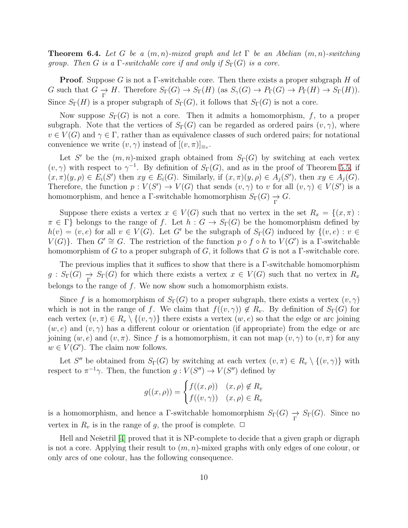Theorem 6.4. *Let* G *be a* (m, n)*-mixed graph and let* Γ *be an Abelian* (m, n)*-switching group. Then* G *is a*  $\Gamma$ -switchable core if and only if  $S_{\Gamma}(G)$  is a core.

**Proof.** Suppose G is not a  $\Gamma$ -switchable core. Then there exists a proper subgraph H of G such that  $G \to H$ . Therefore  $S_{\Gamma}(G) \to S_{\Gamma}(H)$  (as  $S_{\gamma}(G) \to P_{\Gamma}(G) \to P_{\Gamma}(H) \to S_{\Gamma}(H)$ ). Since  $S_{\Gamma}(H)$  is a proper subgraph of  $S_{\Gamma}(G)$ , it follows that  $S_{\Gamma}(G)$  is not a core.

Now suppose  $S_{\Gamma}(G)$  is not a core. Then it admits a homomorphism, f, to a proper subgraph. Note that the vertices of  $S_{\Gamma}(G)$  can be regarded as ordered pairs  $(v, \gamma)$ , where  $v \in V(G)$  and  $\gamma \in \Gamma$ , rather than as equivalence classes of such ordered pairs; for notational convenience we write  $(v, \gamma)$  instead of  $[(v, \pi)]_{\equiv_v}$ .

Let S' be the  $(m, n)$ -mixed graph obtained from  $S_{\Gamma}(G)$  by switching at each vertex  $(v, \gamma)$  with respect to  $\gamma^{-1}$ . By definition of  $S_{\Gamma}(G)$ , and as in the proof of Theorem [5.5,](#page-6-1) if  $(x, \pi)(y, \rho) \in E_i(S')$  then  $xy \in E_i(G)$ . Similarly, if  $(x, \pi)(y, \rho) \in A_j(S')$ , then  $xy \in A_j(G)$ . Therefore, the function  $p: V(S') \to V(G)$  that sends  $(v, \gamma)$  to v for all  $(v, \gamma) \in V(S')$  is a homomorphism, and hence a  $\Gamma$ -switchable homomorphism  $S_{\Gamma}(G) \to G$ .

Suppose there exists a vertex  $x \in V(G)$  such that no vertex in the set  $R_x = \{(x, \pi) :$  $\pi \in \Gamma$  belongs to the range of f. Let  $h : G \to S_{\Gamma}(G)$  be the homomorphism defined by  $h(v) = (v, e)$  for all  $v \in V(G)$ . Let G' be the subgraph of  $S_{\Gamma}(G)$  induced by  $\{(v, e) : v \in$  $V(G)$ . Then  $G' \cong G$ . The restriction of the function  $p \circ f \circ h$  to  $V(G')$  is a  $\Gamma$ -switchable homomorphism of G to a proper subgraph of G, it follows that G is not a  $\Gamma$ -switchable core.

The previous implies that it suffices to show that there is a  $\Gamma$ -switchable homomorphism  $g: S_{\Gamma}(G) \to S_{\Gamma}(G)$  for which there exists a vertex  $x \in V(G)$  such that no vertex in  $R_x$ belongs to the range of  $f$ . We now show such a homomorphism exists.

Since f is a homomorphism of  $S_{\Gamma}(G)$  to a proper subgraph, there exists a vertex  $(v, \gamma)$ which is not in the range of f. We claim that  $f((v, \gamma)) \notin R_v$ . By definition of  $S_{\Gamma}(G)$  for each vertex  $(v, \pi) \in R_v \setminus \{(v, \gamma)\}\$  there exists a vertex  $(w, e)$  so that the edge or arc joining  $(w, e)$  and  $(v, \gamma)$  has a different colour or orientation (if appropriate) from the edge or arc joining  $(w, e)$  and  $(v, \pi)$ . Since f is a homomorphism, it can not map  $(v, \gamma)$  to  $(v, \pi)$  for any  $w \in V(G')$ . The claim now follows.

Let S'' be obtained from  $S_{\Gamma}(G)$  by switching at each vertex  $(v, \pi) \in R_v \setminus \{(v, \gamma)\}\$  with respect to  $\pi^{-1}\gamma$ . Then, the function  $g: V(S'') \to V(S'')$  defined by

$$
g((x,\rho)) = \begin{cases} f((x,\rho)) & (x,\rho) \notin R_v \\ f((v,\gamma)) & (x,\rho) \in R_v \end{cases}
$$

is a homomorphism, and hence a  $\Gamma$ -switchable homomorphism  $S_{\Gamma}(G) \to S_{\Gamma}(G)$ . Since no vertex in  $R_v$  is in the range of g, the proof is complete.  $\Box$ 

Hell and Ne $\acute{s}$ etřil [\[4\]](#page-12-9) proved that it is NP-complete to decide that a given graph or digraph is not a core. Applying their result to  $(m, n)$ -mixed graphs with only edges of one colour, or only arcs of one colour, has the following consequence.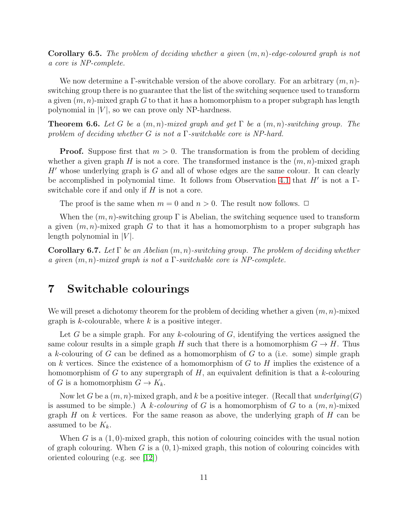Corollary 6.5. *The problem of deciding whether a given* (m, n)*-edge-coloured graph is not a core is NP-complete.*

We now determine a Γ-switchable version of the above corollary. For an arbitrary  $(m, n)$ switching group there is no guarantee that the list of the switching sequence used to transform a given  $(m, n)$ -mixed graph G to that it has a homomorphism to a proper subgraph has length polynomial in  $|V|$ , so we can prove only NP-hardness.

Theorem 6.6. *Let* G *be a* (m, n)*-mixed graph and get* Γ *be a* (m, n)*-switching group. The problem of deciding whether* G *is not a* Γ*-switchable core is NP-hard.*

**Proof.** Suppose first that  $m > 0$ . The transformation is from the problem of deciding whether a given graph H is not a core. The transformed instance is the  $(m, n)$ -mixed graph  $H'$  whose underlying graph is  $G$  and all of whose edges are the same colour. It can clearly be accomplished in polynomial time. It follows from Observation [4.1](#page-3-2) that  $H'$  is not a  $\Gamma$ switchable core if and only if  $H$  is not a core.

The proof is the same when  $m = 0$  and  $n > 0$ . The result now follows.  $\Box$ 

When the  $(m, n)$ -switching group  $\Gamma$  is Abelian, the switching sequence used to transform a given  $(m, n)$ -mixed graph G to that it has a homomorphism to a proper subgraph has length polynomial in  $|V|$ .

Corollary 6.7. *Let* Γ *be an Abelian* (m, n)*-switching group. The problem of deciding whether a given* (m, n)*-mixed graph is not a* Γ*-switchable core is NP-complete.*

# 7 Switchable colourings

We will preset a dichotomy theorem for the problem of deciding whether a given  $(m, n)$ -mixed graph is  $k$ -colourable, where  $k$  is a positive integer.

Let G be a simple graph. For any k-colouring of G, identifying the vertices assigned the same colour results in a simple graph H such that there is a homomorphism  $G \to H$ . Thus a k-colouring of G can be defined as a homomorphism of G to a (i.e. some) simple graph on k vertices. Since the existence of a homomorphism of  $G$  to  $H$  implies the existence of a homomorphism of  $G$  to any supergraph of  $H$ , an equivalent definition is that a k-colouring of G is a homomorphism  $G \to K_k$ .

Now let G be a (m, n)-mixed graph, and k be a positive integer. (Recall that *underlying*(G) is assumed to be simple.) A k-colouring of G is a homomorphism of G to a  $(m, n)$ -mixed graph H on k vertices. For the same reason as above, the underlying graph of H can be assumed to be  $K_k$ .

When G is a  $(1,0)$ -mixed graph, this notion of colouring coincides with the usual notion of graph colouring. When G is a  $(0, 1)$ -mixed graph, this notion of colouring coincides with oriented colouring (e.g. see [\[12\]](#page-12-10))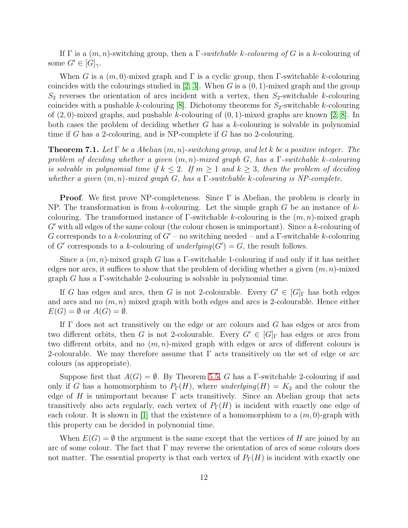If Γ is a (m, n)-switching group, then a Γ*-switchable* k*-colouring of* G is a k-colouring of some  $G' \in [G]_{\gamma}$ .

When G is a  $(m, 0)$ -mixed graph and  $\Gamma$  is a cyclic group, then  $\Gamma$ -switchable k-colouring coincides with the colourings studied in [\[2,](#page-12-11) [3\]](#page-12-2). When G is a  $(0, 1)$ -mixed graph and the group  $S_2$  reverses the orientation of arcs incident with a vertex, then  $S_2$ -switchable k-colouring coincides with a pushable k-colouring  $[8]$ . Dichotomy theorems for  $S_2$ -switchable k-colouring of  $(2, 0)$ -mixed graphs, and pushable k-colouring of  $(0, 1)$ -mixed graphs are known [\[2,](#page-12-11) [8\]](#page-12-1). In both cases the problem of deciding whether  $G$  has a k-colouring is solvable in polynomial time if G has a 2-colouring, and is NP-complete if G has no 2-colouring.

Theorem 7.1. *Let* Γ *be a Abelian* (m, n)*-switching group, and let* k *be a positive integer. The problem of deciding whether a given* (m, n)*-mixed graph* G*, has a* Γ*-switchable* k*-colouring is solvable in polynomial time if*  $k \leq 2$ . If  $m \geq 1$  and  $k \geq 3$ , then the problem of deciding *whether a given* (m, n)*-mixed graph* G*, has a* Γ*-switchable* k*-colouring is NP-complete.*

**Proof.** We first prove NP-completeness. Since  $\Gamma$  is Abelian, the problem is clearly in NP. The transformation is from k-colouring. Let the simple graph  $G$  be an instance of  $k$ colouring. The transformed instance of  $\Gamma$ -switchable k-colouring is the  $(m, n)$ -mixed graph  $G'$  with all edges of the same colour (the colour chosen is unimportant). Since a k-colouring of G corresponds to a k-colouring of  $G'$  – no switching needed – and a  $\Gamma$ -switchable k-colouring of  $G'$  corresponds to a k-colouring of *underlying*( $G'$ ) =  $G$ , the result follows.

Since a  $(m, n)$ -mixed graph G has a Γ-switchable 1-colouring if and only if it has neither edges nor arcs, it suffices to show that the problem of deciding whether a given  $(m, n)$ -mixed graph  $G$  has a  $\Gamma$ -switchable 2-colouring is solvable in polynomial time.

If G has edges and arcs, then G is not 2-colourable. Every  $G' \in [G]_{\Gamma}$  has both edges and arcs and no  $(m, n)$  mixed graph with both edges and arcs is 2-colourable. Hence either  $E(G) = \emptyset$  or  $A(G) = \emptyset$ .

If  $\Gamma$  does not act transitively on the edge or arc colours and G has edges or arcs from two different orbits, then G is not 2-colourable. Every  $G' \in [G]_{\Gamma}$  has edges or arcs from two different orbits, and no  $(m, n)$ -mixed graph with edges or arcs of different colours is 2-colourable. We may therefore assume that  $\Gamma$  acts transitively on the set of edge or arc colours (as appropriate).

Suppose first that  $A(G) = \emptyset$ . By Theorem [5.5,](#page-6-1) G has a Γ-switchable 2-colouring if and only if G has a homomorphism to  $P_{\Gamma}(H)$ , where *underlying* $(H) = K_2$  and the colour the edge of H is unimportant because  $\Gamma$  acts transitively. Since an Abelian group that acts transitively also acts regularly, each vertex of  $P_{\Gamma}(H)$  is incident with exactly one edge of each colour. It is shown in [\[1\]](#page-12-12) that the existence of a homomorphism to a  $(m, 0)$ -graph with this property can be decided in polynomial time.

When  $E(G) = \emptyset$  the argument is the same except that the vertices of H are joined by an arc of some colour. The fact that  $\Gamma$  may reverse the orientation of arcs of some colours does not matter. The essential property is that each vertex of  $P_{\Gamma}(H)$  is incident with exactly one